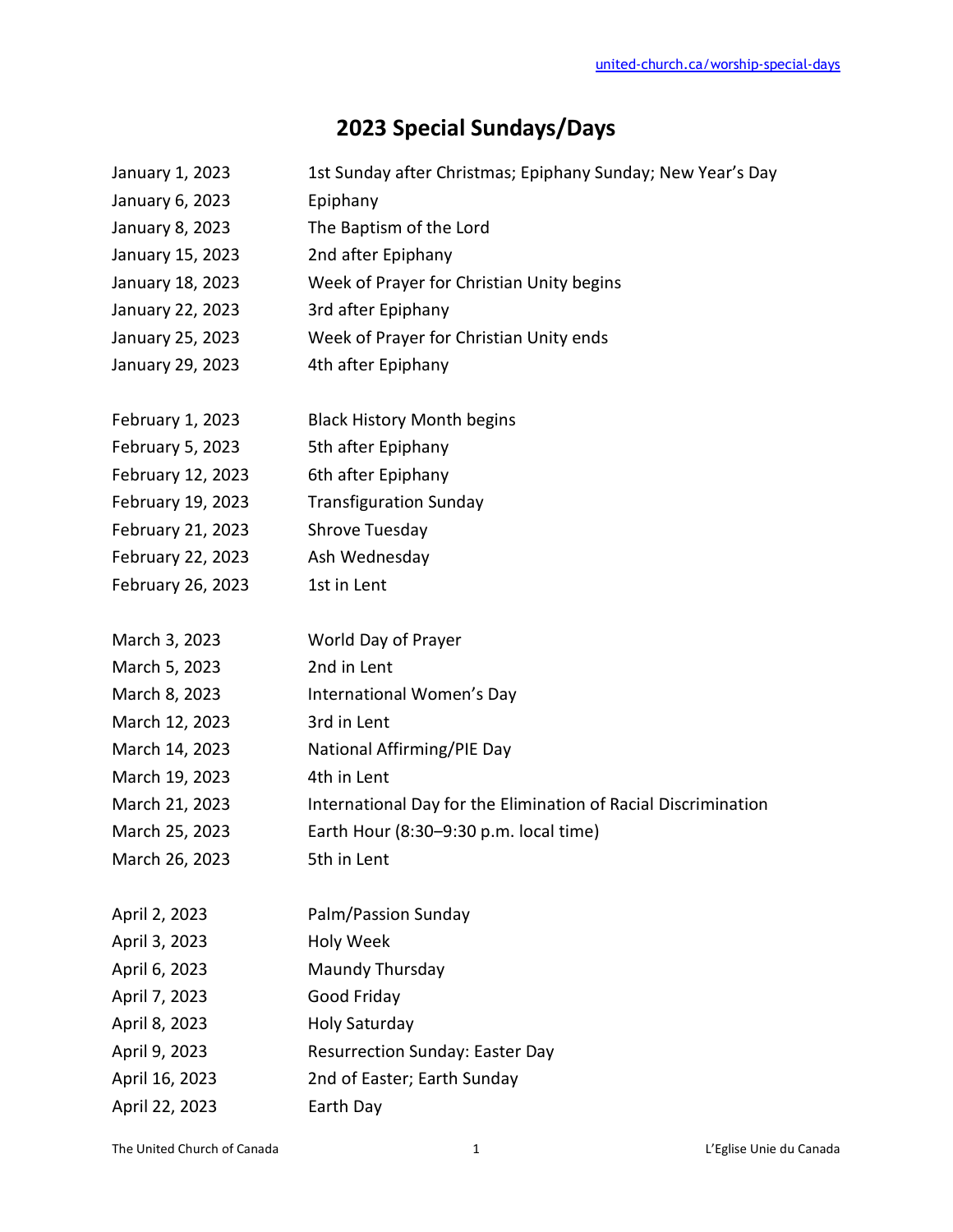## **2023 Special Sundays/Days**

| January 1, 2023   | 1st Sunday after Christmas; Epiphany Sunday; New Year's Day    |
|-------------------|----------------------------------------------------------------|
| January 6, 2023   | Epiphany                                                       |
| January 8, 2023   | The Baptism of the Lord                                        |
| January 15, 2023  | 2nd after Epiphany                                             |
| January 18, 2023  | Week of Prayer for Christian Unity begins                      |
| January 22, 2023  | 3rd after Epiphany                                             |
| January 25, 2023  | Week of Prayer for Christian Unity ends                        |
| January 29, 2023  | 4th after Epiphany                                             |
|                   |                                                                |
| February 1, 2023  | <b>Black History Month begins</b>                              |
| February 5, 2023  | 5th after Epiphany                                             |
| February 12, 2023 | 6th after Epiphany                                             |
| February 19, 2023 | <b>Transfiguration Sunday</b>                                  |
| February 21, 2023 | Shrove Tuesday                                                 |
| February 22, 2023 | Ash Wednesday                                                  |
| February 26, 2023 | 1st in Lent                                                    |
|                   |                                                                |
| March 3, 2023     | World Day of Prayer                                            |
| March 5, 2023     | 2nd in Lent                                                    |
| March 8, 2023     | International Women's Day                                      |
| March 12, 2023    | 3rd in Lent                                                    |
| March 14, 2023    | National Affirming/PIE Day                                     |
| March 19, 2023    | 4th in Lent                                                    |
| March 21, 2023    | International Day for the Elimination of Racial Discrimination |
| March 25, 2023    | Earth Hour (8:30-9:30 p.m. local time)                         |
| March 26, 2023    | 5th in Lent                                                    |
| April 2, 2023     | Palm/Passion Sunday                                            |
| April 3, 2023     | Holy Week                                                      |
| April 6, 2023     | Maundy Thursday                                                |
| April 7, 2023     |                                                                |
|                   | Good Friday                                                    |
| April 8, 2023     | <b>Holy Saturday</b>                                           |
| April 9, 2023     | <b>Resurrection Sunday: Easter Day</b>                         |
| April 16, 2023    | 2nd of Easter; Earth Sunday                                    |
| April 22, 2023    | Earth Day                                                      |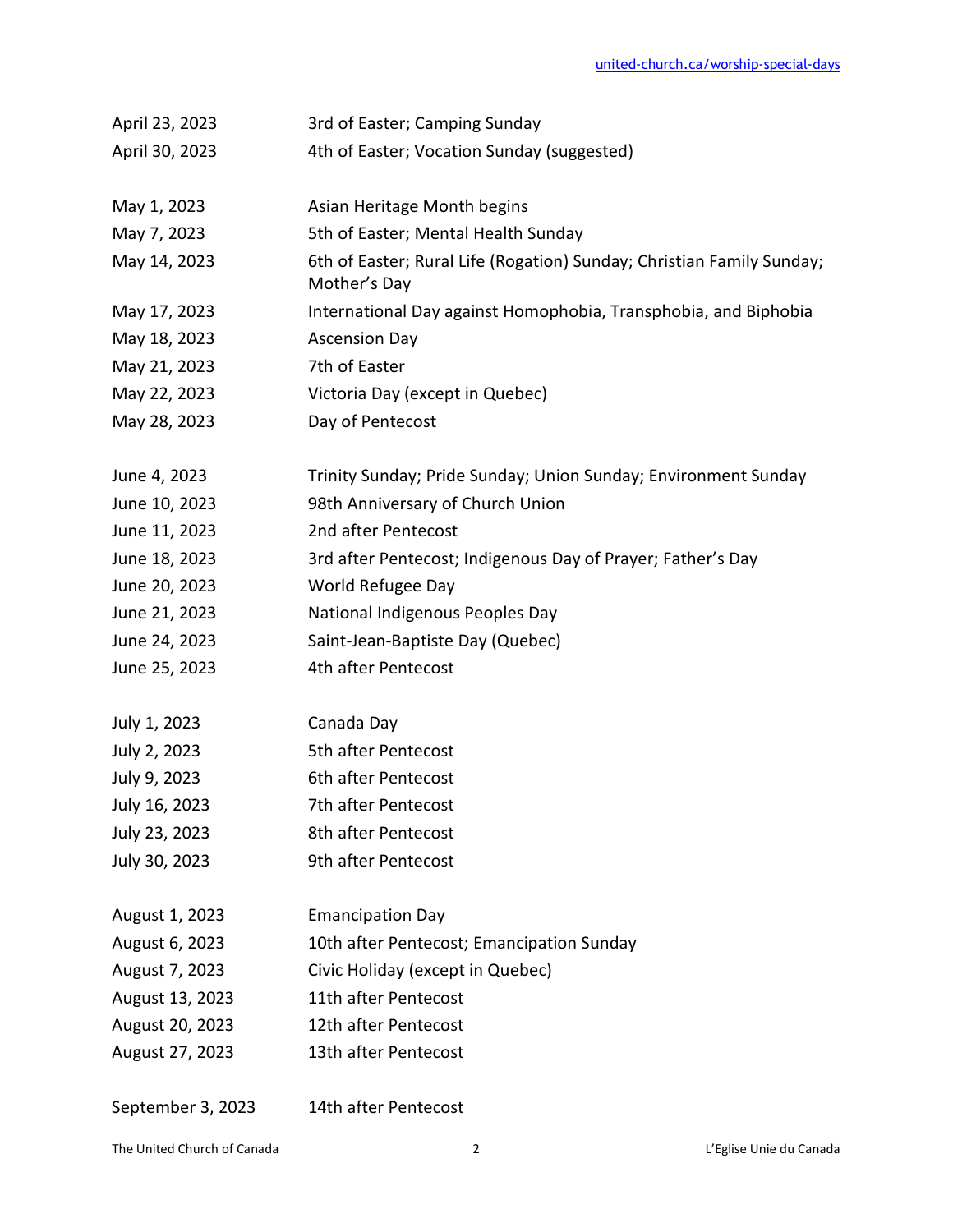| April 23, 2023  | 3rd of Easter; Camping Sunday                                         |
|-----------------|-----------------------------------------------------------------------|
| April 30, 2023  | 4th of Easter; Vocation Sunday (suggested)                            |
|                 |                                                                       |
| May 1, 2023     | Asian Heritage Month begins                                           |
| May 7, 2023     | 5th of Easter; Mental Health Sunday                                   |
| May 14, 2023    | 6th of Easter; Rural Life (Rogation) Sunday; Christian Family Sunday; |
|                 | Mother's Day                                                          |
| May 17, 2023    | International Day against Homophobia, Transphobia, and Biphobia       |
| May 18, 2023    | <b>Ascension Day</b>                                                  |
| May 21, 2023    | 7th of Easter                                                         |
| May 22, 2023    | Victoria Day (except in Quebec)                                       |
| May 28, 2023    | Day of Pentecost                                                      |
|                 |                                                                       |
| June 4, 2023    | Trinity Sunday; Pride Sunday; Union Sunday; Environment Sunday        |
| June 10, 2023   | 98th Anniversary of Church Union                                      |
| June 11, 2023   | 2nd after Pentecost                                                   |
| June 18, 2023   | 3rd after Pentecost; Indigenous Day of Prayer; Father's Day           |
| June 20, 2023   | World Refugee Day                                                     |
| June 21, 2023   | National Indigenous Peoples Day                                       |
| June 24, 2023   | Saint-Jean-Baptiste Day (Quebec)                                      |
| June 25, 2023   | 4th after Pentecost                                                   |
|                 |                                                                       |
| July 1, 2023    | Canada Day                                                            |
| July 2, 2023    | 5th after Pentecost                                                   |
| July 9, 2023    | 6th after Pentecost                                                   |
| July 16, 2023   | 7th after Pentecost                                                   |
| July 23, 2023   | 8th after Pentecost                                                   |
| July 30, 2023   | 9th after Pentecost                                                   |
|                 |                                                                       |
| August 1, 2023  | <b>Emancipation Day</b>                                               |
| August 6, 2023  | 10th after Pentecost; Emancipation Sunday                             |
| August 7, 2023  | Civic Holiday (except in Quebec)                                      |
| August 13, 2023 | 11th after Pentecost                                                  |
| August 20, 2023 | 12th after Pentecost                                                  |
| August 27, 2023 | 13th after Pentecost                                                  |
|                 |                                                                       |

September 3, 2023 14th after Pentecost